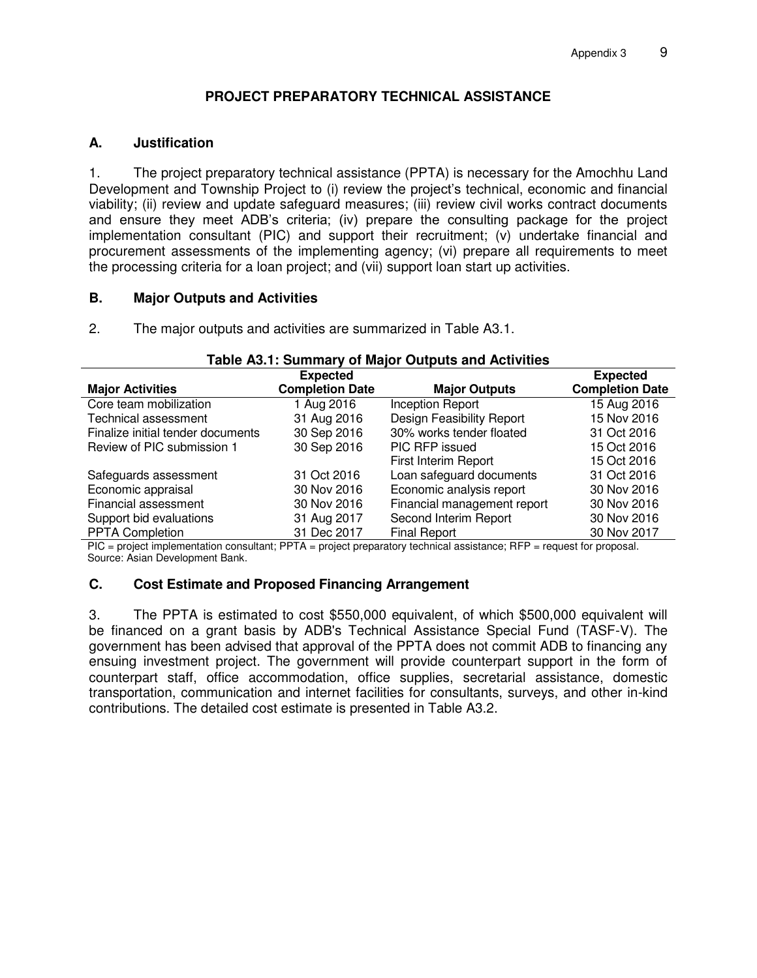# **PROJECT PREPARATORY TECHNICAL ASSISTANCE**

### **A. Justification**

1. The project preparatory technical assistance (PPTA) is necessary for the Amochhu Land Development and Township Project to (i) review the project's technical, economic and financial viability; (ii) review and update safeguard measures; (iii) review civil works contract documents and ensure they meet ADB's criteria; (iv) prepare the consulting package for the project implementation consultant (PIC) and support their recruitment; (v) undertake financial and procurement assessments of the implementing agency; (vi) prepare all requirements to meet the processing criteria for a loan project; and (vii) support loan start up activities.

#### **B. Major Outputs and Activities**

2. The major outputs and activities are summarized in Table A3.1.

|                                   | <b>Expected</b>        |                             | <b>Expected</b>        |
|-----------------------------------|------------------------|-----------------------------|------------------------|
| <b>Major Activities</b>           | <b>Completion Date</b> | <b>Major Outputs</b>        | <b>Completion Date</b> |
| Core team mobilization            | 1 Aug 2016             | Inception Report            | 15 Aug 2016            |
| Technical assessment              | 31 Aug 2016            | Design Feasibility Report   | 15 Nov 2016            |
| Finalize initial tender documents | 30 Sep 2016            | 30% works tender floated    | 31 Oct 2016            |
| Review of PIC submission 1        | 30 Sep 2016            | PIC RFP issued              | 15 Oct 2016            |
|                                   |                        | First Interim Report        | 15 Oct 2016            |
| Safeguards assessment             | 31 Oct 2016            | Loan safeguard documents    | 31 Oct 2016            |
| Economic appraisal                | 30 Nov 2016            | Economic analysis report    | 30 Nov 2016            |
| Financial assessment              | 30 Nov 2016            | Financial management report | 30 Nov 2016            |
| Support bid evaluations           | 31 Aug 2017            | Second Interim Report       | 30 Nov 2016            |
| <b>PPTA Completion</b>            | 31 Dec 2017            | <b>Final Report</b>         | 30 Nov 2017            |

#### **Table A3.1: Summary of Major Outputs and Activities**

PIC = project implementation consultant; PPTA = project preparatory technical assistance; RFP = request for proposal. Source: Asian Development Bank.

# **C. Cost Estimate and Proposed Financing Arrangement**

3. The PPTA is estimated to cost \$550,000 equivalent, of which \$500,000 equivalent will be financed on a grant basis by ADB's Technical Assistance Special Fund (TASF-V). The government has been advised that approval of the PPTA does not commit ADB to financing any ensuing investment project. The government will provide counterpart support in the form of counterpart staff, office accommodation, office supplies, secretarial assistance, domestic transportation, communication and internet facilities for consultants, surveys, and other in-kind contributions. The detailed cost estimate is presented in Table A3.2.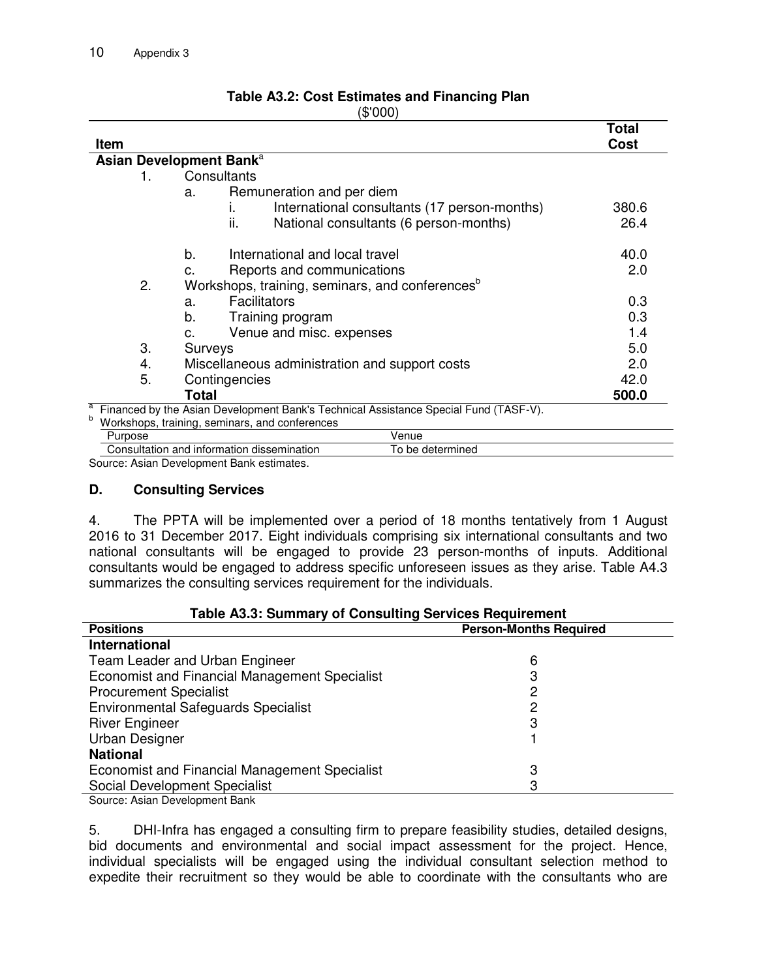|             | $\downarrow \downarrow \downarrow \downarrow \downarrow \downarrow$                  |                      |
|-------------|--------------------------------------------------------------------------------------|----------------------|
| <b>Item</b> |                                                                                      | Total<br><b>Cost</b> |
|             | Asian Development Bank <sup>a</sup>                                                  |                      |
| 1.          | Consultants                                                                          |                      |
|             | Remuneration and per diem<br>a.                                                      |                      |
|             | International consultants (17 person-months)                                         | 380.6                |
|             | ii.<br>National consultants (6 person-months)                                        | 26.4                 |
|             | b.<br>International and local travel                                                 | 40.0                 |
|             | Reports and communications<br>c.                                                     | 2.0                  |
| 2.          | Workshops, training, seminars, and conferences <sup>b</sup>                          |                      |
|             | <b>Facilitators</b><br>a.                                                            | 0.3                  |
|             | b.<br>Training program                                                               | 0.3                  |
|             | Venue and misc. expenses<br>C.                                                       | 1.4                  |
| 3.          | Surveys                                                                              | 5.0                  |
| 4.          | Miscellaneous administration and support costs                                       | 2.0                  |
| 5.          | Contingencies                                                                        | 42.0                 |
|             | <b>Total</b>                                                                         | 500.0                |
|             | Financed by the Asian Development Bank's Technical Assistance Special Fund (TASF-V). |                      |
| b           | Workshops, training, seminars, and conferences                                       |                      |
| Purpose     | Venue                                                                                |                      |
|             | Consultation and information dissemination<br>To be determined                       |                      |

#### **Table A3.2: Cost Estimates and Financing Plan**  (\$'000)

Source: Asian Development Bank estimates.

#### **D. Consulting Services**

4. The PPTA will be implemented over a period of 18 months tentatively from 1 August 2016 to 31 December 2017. Eight individuals comprising six international consultants and two national consultants will be engaged to provide 23 person-months of inputs. Additional consultants would be engaged to address specific unforeseen issues as they arise. Table A4.3 summarizes the consulting services requirement for the individuals.

| <b>Positions</b>                              | <b>Person-Months Required</b> |  |  |  |
|-----------------------------------------------|-------------------------------|--|--|--|
| International                                 |                               |  |  |  |
| Team Leader and Urban Engineer                | 6                             |  |  |  |
| Economist and Financial Management Specialist | З                             |  |  |  |
| <b>Procurement Specialist</b>                 | 2                             |  |  |  |
| <b>Environmental Safeguards Specialist</b>    | っ                             |  |  |  |
| <b>River Engineer</b>                         | 3                             |  |  |  |
| Urban Designer                                |                               |  |  |  |
| <b>National</b>                               |                               |  |  |  |
| Economist and Financial Management Specialist | З                             |  |  |  |
| Social Development Specialist                 | З                             |  |  |  |
| Course Asian Development Dank                 |                               |  |  |  |

# **Table A3.3: Summary of Consulting Services Requirement**

Source: Asian Development Bank

5. DHI-Infra has engaged a consulting firm to prepare feasibility studies, detailed designs, bid documents and environmental and social impact assessment for the project. Hence, individual specialists will be engaged using the individual consultant selection method to expedite their recruitment so they would be able to coordinate with the consultants who are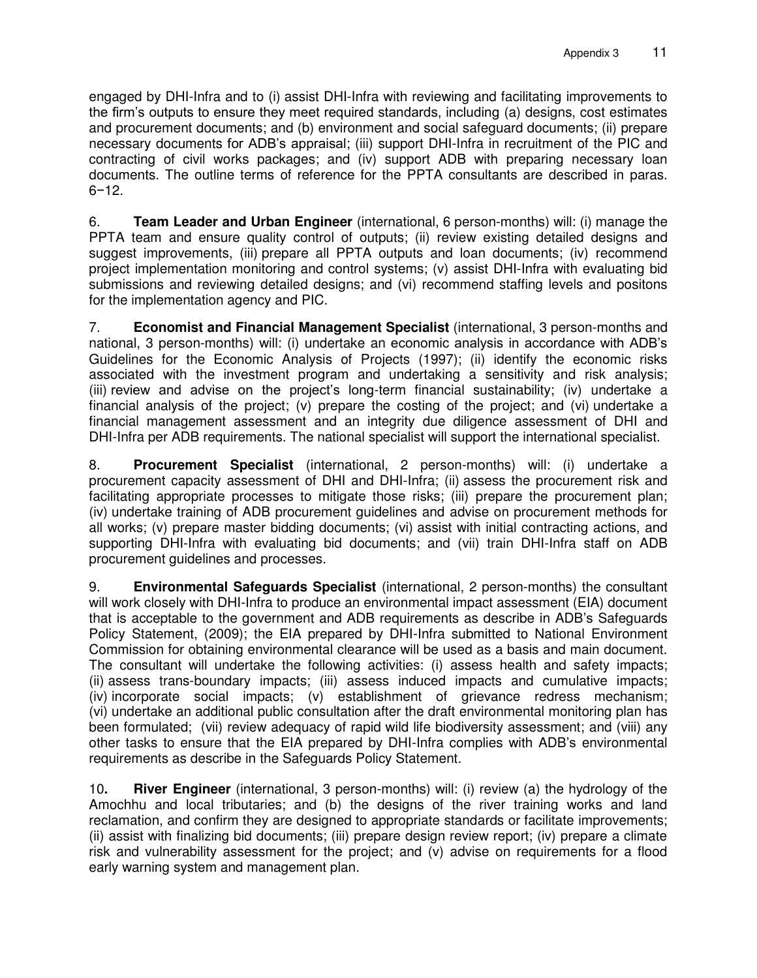engaged by DHI-Infra and to (i) assist DHI-Infra with reviewing and facilitating improvements to the firm's outputs to ensure they meet required standards, including (a) designs, cost estimates and procurement documents; and (b) environment and social safeguard documents; (ii) prepare necessary documents for ADB's appraisal; (iii) support DHI-Infra in recruitment of the PIC and contracting of civil works packages; and (iv) support ADB with preparing necessary loan documents. The outline terms of reference for the PPTA consultants are described in paras. 6−12.

6. **Team Leader and Urban Engineer** (international, 6 person-months) will: (i) manage the PPTA team and ensure quality control of outputs; (ii) review existing detailed designs and suggest improvements, (iii) prepare all PPTA outputs and loan documents; (iv) recommend project implementation monitoring and control systems; (v) assist DHI-Infra with evaluating bid submissions and reviewing detailed designs; and (vi) recommend staffing levels and positons for the implementation agency and PIC.

7. **Economist and Financial Management Specialist** (international, 3 person-months and national, 3 person-months) will: (i) undertake an economic analysis in accordance with ADB's Guidelines for the Economic Analysis of Projects (1997); (ii) identify the economic risks associated with the investment program and undertaking a sensitivity and risk analysis; (iii) review and advise on the project's long-term financial sustainability; (iv) undertake a financial analysis of the project; (v) prepare the costing of the project; and (vi) undertake a financial management assessment and an integrity due diligence assessment of DHI and DHI-Infra per ADB requirements. The national specialist will support the international specialist.

8. **Procurement Specialist** (international, 2 person-months) will: (i) undertake a procurement capacity assessment of DHI and DHI-Infra; (ii) assess the procurement risk and facilitating appropriate processes to mitigate those risks; (iii) prepare the procurement plan; (iv) undertake training of ADB procurement guidelines and advise on procurement methods for all works; (v) prepare master bidding documents; (vi) assist with initial contracting actions, and supporting DHI-Infra with evaluating bid documents; and (vii) train DHI-Infra staff on ADB procurement guidelines and processes.

9. **Environmental Safeguards Specialist** (international, 2 person-months) the consultant will work closely with DHI-Infra to produce an environmental impact assessment (EIA) document that is acceptable to the government and ADB requirements as describe in ADB's Safeguards Policy Statement, (2009); the EIA prepared by DHI-Infra submitted to National Environment Commission for obtaining environmental clearance will be used as a basis and main document. The consultant will undertake the following activities: (i) assess health and safety impacts; (ii) assess trans-boundary impacts; (iii) assess induced impacts and cumulative impacts; (iv) incorporate social impacts; (v) establishment of grievance redress mechanism; (vi) undertake an additional public consultation after the draft environmental monitoring plan has been formulated; (vii) review adequacy of rapid wild life biodiversity assessment; and (viii) any other tasks to ensure that the EIA prepared by DHI-Infra complies with ADB's environmental requirements as describe in the Safeguards Policy Statement.

10**. River Engineer** (international, 3 person-months) will: (i) review (a) the hydrology of the Amochhu and local tributaries; and (b) the designs of the river training works and land reclamation, and confirm they are designed to appropriate standards or facilitate improvements; (ii) assist with finalizing bid documents; (iii) prepare design review report; (iv) prepare a climate risk and vulnerability assessment for the project; and (v) advise on requirements for a flood early warning system and management plan.